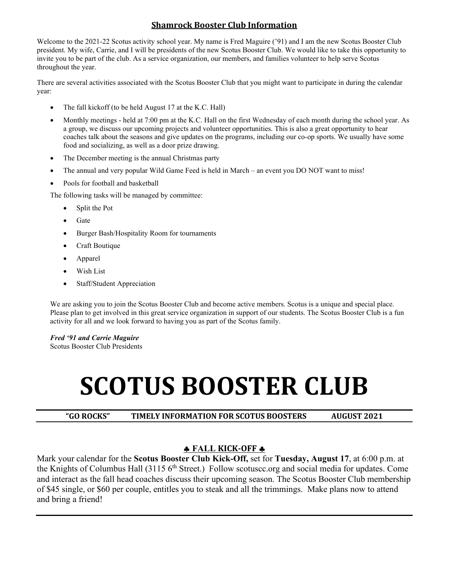#### **Shamrock Booster Club Information**

Welcome to the 2021-22 Scotus activity school year. My name is Fred Maguire ('91) and I am the new Scotus Booster Club president. My wife, Carrie, and I will be presidents of the new Scotus Booster Club. We would like to take this opportunity to invite you to be part of the club. As a service organization, our members, and families volunteer to help serve Scotus throughout the year.

There are several activities associated with the Scotus Booster Club that you might want to participate in during the calendar year:

- The fall kickoff (to be held August 17 at the K.C. Hall)
- Monthly meetings held at 7:00 pm at the K.C. Hall on the first Wednesday of each month during the school year. As a group, we discuss our upcoming projects and volunteer opportunities. This is also a great opportunity to hear coaches talk about the seasons and give updates on the programs, including our co-op sports. We usually have some food and socializing, as well as a door prize drawing.
- The December meeting is the annual Christmas party
- The annual and very popular Wild Game Feed is held in March an event you DO NOT want to miss!
- Pools for football and basketball

The following tasks will be managed by committee:

- Split the Pot
- Gate
- Burger Bash/Hospitality Room for tournaments
- Craft Boutique
- Apparel
- Wish List
- Staff/Student Appreciation

We are asking you to join the Scotus Booster Club and become active members. Scotus is a unique and special place. Please plan to get involved in this great service organization in support of our students. The Scotus Booster Club is a fun activity for all and we look forward to having you as part of the Scotus family.

*Fred '91 and Carrie Maguire* 

Scotus Booster Club Presidents

# **SCOTUS BOOSTER CLUB**

**"GO ROCKS" TIMELY INFORMATION FOR SCOTUS BOOSTERS AUGUST 2021**

#### ♣ **FALL KICK-OFF** ♣

Mark your calendar for the **Scotus Booster Club Kick-Off,** set for **Tuesday, August 17**, at 6:00 p.m. at the Knights of Columbus Hall (3115 6<sup>th</sup> Street.) Follow scotuscc.org and social media for updates. Come and interact as the fall head coaches discuss their upcoming season. The Scotus Booster Club membership of \$45 single, or \$60 per couple, entitles you to steak and all the trimmings. Make plans now to attend and bring a friend!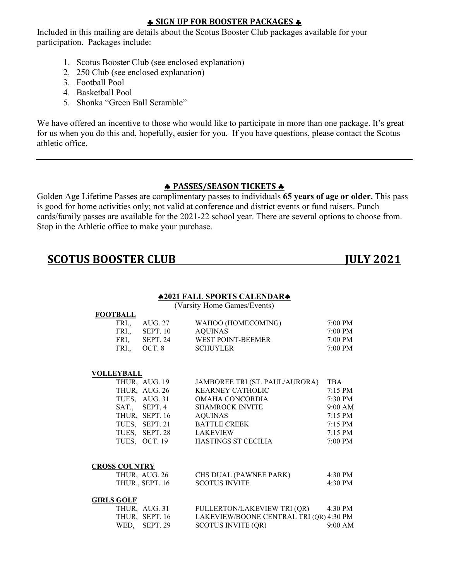#### ♣ **SIGN UP FOR BOOSTER PACKAGES** ♣

Included in this mailing are details about the Scotus Booster Club packages available for your participation. Packages include:

- 1. Scotus Booster Club (see enclosed explanation)
- 2. 250 Club (see enclosed explanation)
- 3. Football Pool
- 4. Basketball Pool
- 5. Shonka "Green Ball Scramble"

We have offered an incentive to those who would like to participate in more than one package. It's great for us when you do this and, hopefully, easier for you. If you have questions, please contact the Scotus athletic office.

#### ♣ **PASSES/SEASON TICKETS** ♣

Golden Age Lifetime Passes are complimentary passes to individuals **65 years of age or older.** This pass is good for home activities only; not valid at conference and district events or fund raisers. Punch cards/family passes are available for the 2021-22 school year. There are several options to choose from. Stop in the Athletic office to make your purchase.

## **SCOTUS BOOSTER CLUB JULY 2021**

#### ♣**2021 FALL SPORTS CALENDAR**♣

(Varsity Home Games/Events)

| <b>FOOTBALL</b> |                 |                 |                    |                   |
|-----------------|-----------------|-----------------|--------------------|-------------------|
| FRI             | AUG. 27         |                 | WAHOO (HOMECOMING) | $7:00 \text{ PM}$ |
| FRI             | <b>SEPT.</b> 10 | <b>AQUINAS</b>  |                    | $7:00 \text{ PM}$ |
| FRI.            | SEPT. 24        |                 | WEST POINT-BEEMER  | $7:00 \text{ PM}$ |
| FRI             | OCT. 8          | <b>SCHUYLER</b> |                    | 7:00 PM           |

#### **VOLLEYBALL**

| THUR, AUG. 19  | JAMBOREE TRI (ST. PAUL/AURORA) | <b>TBA</b>        |
|----------------|--------------------------------|-------------------|
| THUR, AUG. 26  | <b>KEARNEY CATHOLIC</b>        | $7:15 \text{ PM}$ |
| TUES, AUG. 31  | OMAHA CONCORDIA                | 7:30 PM           |
| SAT., SEPT. 4  | <b>SHAMROCK INVITE</b>         | $9:00$ AM         |
| THUR, SEPT. 16 | AQUINAS                        | $7:15 \text{ PM}$ |
| TUES, SEPT. 21 | <b>BATTLE CREEK</b>            | $7:15 \text{ PM}$ |
| TUES, SEPT. 28 | <b>LAKEVIEW</b>                | $7:15 \text{ PM}$ |
| TUES, OCT. 19  | HASTINGS ST CECILIA            | $7:00$ PM         |

#### **CROSS COUNTRY**

| THUR, AUG. 26   | CHS DUAL (PAWNEE PARK) | $4:30$ PM |
|-----------------|------------------------|-----------|
| THUR., SEPT. 16 | <b>SCOTUS INVITE</b>   | $4:30$ PM |

#### **GIRLS GOLF**

|  | THUR, AUG. 31  | <b>FULLERTON/LAKEVIEW TRI (QR)</b>      | 4:30 PM           |
|--|----------------|-----------------------------------------|-------------------|
|  | THUR, SEPT. 16 | LAKEVIEW/BOONE CENTRAL TRI (QR) 4:30 PM |                   |
|  | WED, SEPT. 29  | <b>SCOTUS INVITE (QR)</b>               | $9:00 \text{ AM}$ |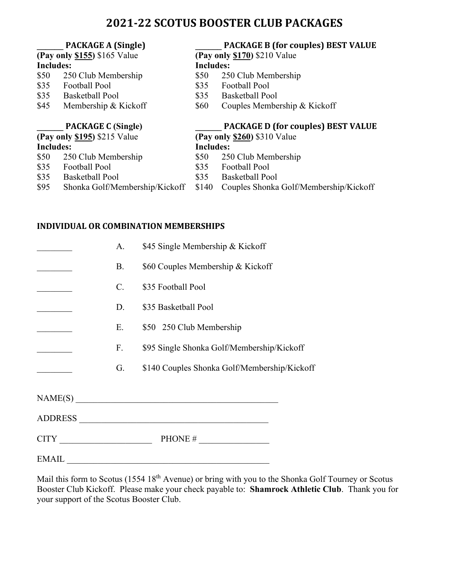### **2021-22 SCOTUS BOOSTER CLUB PACKAGES**

**(Pay only \$155)** \$165 Value

## **\_\_\_\_\_\_ PACKAGE A (Single) \_\_\_\_\_\_ PACKAGE B (for couples) BEST VALUE**

#### **Includes: Includes:**

- \$50 250 Club Membership \$50 250 Club Membership<br>\$35 Football Pool \$35 Football Pool
- \$35 Football Pool \$35
- \$35 Basketball Pool \$35 Basketball Pool
- \$45 Membership & Kickoff \$60 Couples Membership & Kickoff

|                              | <b>PACKAGE C (Single)</b>      |                                | <b>PACKAGE D (for couples) BEST VALUE</b> |  |
|------------------------------|--------------------------------|--------------------------------|-------------------------------------------|--|
| (Pay only \$195) \$215 Value |                                | (Pay only $$260$ ) \$310 Value |                                           |  |
| <b>Includes:</b>             |                                | <b>Includes:</b>               |                                           |  |
|                              | \$50 250 Club Membership       | \$50                           | 250 Club Membership                       |  |
| \$35                         | <b>Football Pool</b>           | \$35                           | <b>Football Pool</b>                      |  |
| \$35                         | <b>Basketball Pool</b>         | \$35.                          | <b>Basketball Pool</b>                    |  |
| \$95                         | Shonka Golf/Membership/Kickoff | \$140                          | Couples Shonka Golf/Membership/Kickoff    |  |

#### **INDIVIDUAL OR COMBINATION MEMBERSHIPS**

|       | A.             | \$45 Single Membership & Kickoff                                                                                     |
|-------|----------------|----------------------------------------------------------------------------------------------------------------------|
|       | <b>B.</b>      | \$60 Couples Membership & Kickoff                                                                                    |
|       | $\mathbf{C}$ . | \$35 Football Pool                                                                                                   |
|       | D.             | \$35 Basketball Pool                                                                                                 |
|       | E.             | \$50 250 Club Membership                                                                                             |
|       | F.             | \$95 Single Shonka Golf/Membership/Kickoff                                                                           |
|       | G.             | \$140 Couples Shonka Golf/Membership/Kickoff                                                                         |
|       |                |                                                                                                                      |
|       |                | ADDRESS                                                                                                              |
|       |                | $CITY$ PHONE #                                                                                                       |
| EMAIL |                | <u> 1989 - Johann Stein, marwolaethau a bhann an t-Amhain an t-Amhain an t-Amhain an t-Amhain an t-Amhain an t-A</u> |

Mail this form to Scotus (1554 18<sup>th</sup> Avenue) or bring with you to the Shonka Golf Tourney or Scotus Booster Club Kickoff. Please make your check payable to: **Shamrock Athletic Club**. Thank you for your support of the Scotus Booster Club.